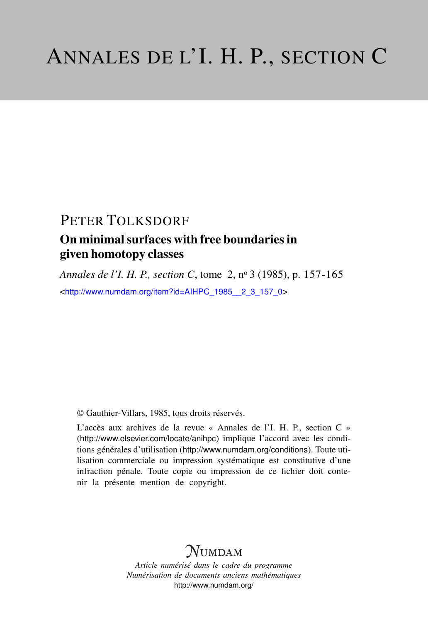## PETER TOLKSDORF

## On minimal surfaces with free boundaries in given homotopy classes

*Annales de l'I. H. P., section C*, tome 2, n<sup>o</sup> 3 (1985), p. 157-165 <[http://www.numdam.org/item?id=AIHPC\\_1985\\_\\_2\\_3\\_157\\_0](http://www.numdam.org/item?id=AIHPC_1985__2_3_157_0)>

© Gauthier-Villars, 1985, tous droits réservés.

L'accès aux archives de la revue « Annales de l'I. H. P., section C » (<http://www.elsevier.com/locate/anihpc>) implique l'accord avec les conditions générales d'utilisation (<http://www.numdam.org/conditions>). Toute utilisation commerciale ou impression systématique est constitutive d'une infraction pénale. Toute copie ou impression de ce fichier doit contenir la présente mention de copyright.

# $N$ UMDAM

*Article numérisé dans le cadre du programme Numérisation de documents anciens mathématiques* <http://www.numdam.org/>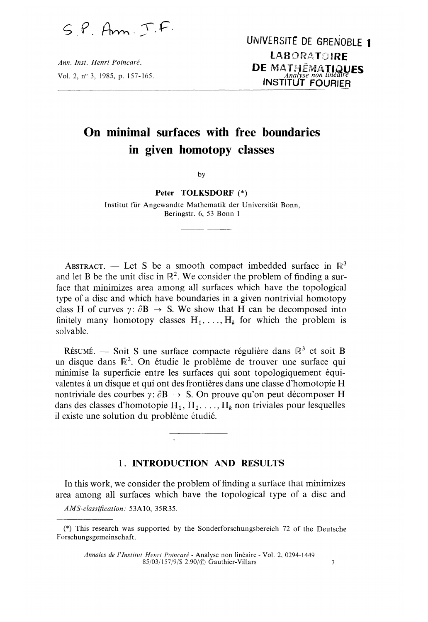$SP.$  Am.  $TF.$ 

Ann. Inst. Henri Poincaré, Vol. 2, nº 3, 1985, p. 157-165.

## On minimal surfaces with free boundaries in given homotopy classes

by

#### Peter TOLKSDORF (\*)

Institut fur Angewandte Mathematik der Universitat Bonn, Beringstr. 6, 53 Bonn 1

ABSTRACT. - Let S be a smooth compact imbedded surface in  $\mathbb{R}^3$ and let B be the unit disc in  $\mathbb{R}^2$ . We consider the problem of finding a surface that minimizes area among all surfaces which have the topological type of a disc and which have boundaries in a given nontrivial homotopy class H of curves  $\gamma$ :  $\partial$ B  $\rightarrow$  S. We show that H can be decomposed into finitely many homotopy classes  $H_1, \ldots, H_k$  for which the problem is solvable.

RÉSUMÉ. - Soit S une surface compacte régulière dans  $\mathbb{R}^3$  et soit B un disque dans  $\mathbb{R}^2$ . On étudie le problème de trouver une surface qui minimise la superficie entre les surfaces qui sont topologiquement équivalentes a un disque et qui ont des frontières dans une classe d'homotopie H nontriviale des courbes  $\gamma: \partial B \to S$ . On prouve qu'on peut décomposer H dans des classes d'homotopie  $H_1, H_2, \ldots, H_k$  non triviales pour lesquelles il existe une solution du problème etudie.

#### 1. INTRODUCTION AND RESULTS

In this work, we consider the problem of finding a surface that minimizes area among all surfaces which have the topological type of a disc and

AMS-classification : 53A10, 35R35.

<sup>(\*)</sup> This research was supported by the Sonderforschungsbereich 72 of the Deutsche Forschungsgemeinschaft.

Annales de l'Institut Henri Poincaré - Analyse non linéaire - Vol. 2, 0294-1449  $85/03/157/9/$ \$ 2.90/ $\odot$  Gauthier-Villars 7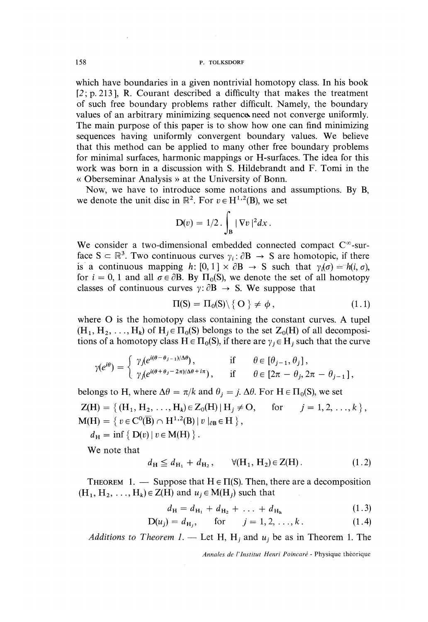which have boundaries in a given nontrivial homotopy class. In his book  $[2; p. 213]$ , R. Courant described a difficulty that makes the treatment of such free boundary problems rather difficult. Namely, the boundary values of an arbitrary minimizing sequence need not converge uniformly. The main purpose of this paper is to show how one can find minimizing sequences having uniformly convergent boundary values. We believe that this method can be applied to many other free boundary problems for minimal surfaces, harmonic mappings or H-surfaces. The idea for this work was born in a discussion with S. Hildebrandt and F. Tomi in the « Oberseminar Analysis » at the University of Bonn.

Now, we have to introduce some notations and assumptions. By B, we denote the unit disc in  $\mathbb{R}^2$ . For  $v \in H^{1,2}(\mathbb{B})$ , we set

$$
D(v) = 1/2 \cdot \int_{B} |\nabla v|^2 dx.
$$

We consider a two-dimensional embedded connected compact  $C^{\infty}$ -surface  $S \subset \mathbb{R}^3$ . Two continuous curves  $\gamma_i : \partial B \to S$  are homotopic, if there is a continuous mapping h:  $[0, 1] \times \partial B \rightarrow S$  such that  $\gamma_i(\sigma) = h(i, \sigma)$ . for  $i = 0, 1$  and all  $\sigma \in \partial B$ . By  $\Pi_0(S)$ , we denote the set of all homotopy classes of continuous curves  $\gamma: \partial B \to S$ . We suppose that

$$
\Pi(S) = \Pi_0(S) \setminus \{ O \} \neq \phi, \tag{1.1}
$$

where O is the homotopy class containing the constant curves. A tupel  $(H_1, H_2, \ldots, H_k)$  of  $H_i \in \Pi_0(S)$  belongs to the set  $Z_0(H)$  of all decompositions of a homotopy class  $H \in \Pi_0(S)$ , if there are  $\gamma_i \in H_i$  such that the curve

$$
\gamma(e^{i\theta}) = \begin{cases} \gamma_j(e^{i(\theta - \theta_{j-1})/\Delta\theta}), & \text{if } \theta \in [\theta_{j-1}, \theta_j], \\ \gamma_j(e^{i(\theta + \theta_j - 2\pi)/\Delta\theta + i\pi}), & \text{if } \theta \in [2\pi - \theta_j, 2\pi - \theta_{j-1}], \end{cases}
$$

belongs to H, where  $\Delta \theta = \pi/k$  and  $\theta_i = j$ .  $\Delta \theta$ . For H  $\in \Pi_0(S)$ , we set

 $Z(H) = \{ (H_1, H_2, ..., H_k) \in Z_0(H) | H_i \neq O, \text{ for } j = 1, 2, ..., k \},$  $M(H) = \{ v \in C^0(\overline{B}) \cap H^{1,2}(B) \, | \, v \mid_{\partial B} \in H \}$ ,

 $d_{\rm H} = \inf \{ D(v) | v \in M(H) \}.$ 

We note that

$$
d_{\mathbf{H}} \le d_{\mathbf{H}_1} + d_{\mathbf{H}_2}, \qquad \forall (\mathbf{H}_1, \mathbf{H}_2) \in \mathbf{Z}(\mathbf{H}). \tag{1.2}
$$

THEOREM 1. — Suppose that  $H \in \Pi(S)$ . Then, there are a decomposition  $(H_1, H_2, \ldots, H_k) \in Z(H)$  and  $u_j \in M(H_j)$  such that

$$
d_{\mathbf{H}} = d_{\mathbf{H}_1} + d_{\mathbf{H}_2} + \ldots + d_{\mathbf{H}_k} \tag{1.3}
$$

$$
D(u_j) = d_{H_j}, \quad \text{for} \quad j = 1, 2, ..., k. \tag{1.4}
$$

Additions to Theorem 1. — Let H, H<sub>i</sub> and  $u_j$  be as in Theorem 1. The

Annales de l'Institut Henri Poincaré - Physique théorique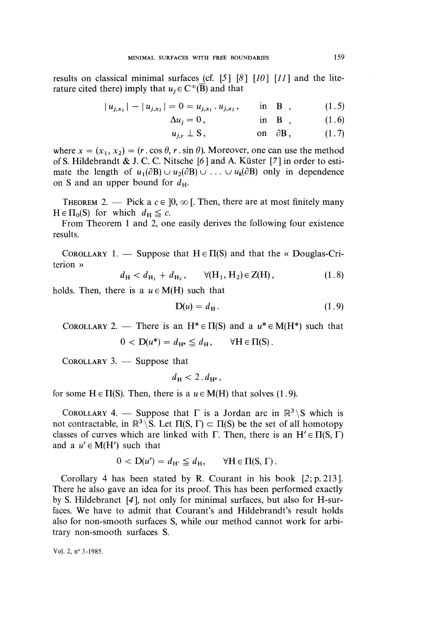results on classical minimal surfaces (cf.  $[5]$   $[8]$   $[10]$   $[11]$  and the literature cited there) imply that  $u_i \in C^{\infty}(\overline{B})$  and that

$$
|u_{j,x_1}| - |u_{j,x_2}| = 0 = u_{j,x_1} \cdot u_{j,x_2}, \quad \text{in} \quad B \quad , \tag{1.5}
$$

$$
\Delta u_j = 0, \qquad \text{in } \mathbf{B} \quad , \qquad (1.6)
$$

$$
u_{j,r} \perp S, \qquad \text{on} \ \partial B, \qquad (1.7)
$$

where  $x = (x_1, x_2) = (r \cdot \cos \theta, r \cdot \sin \theta)$ . Moreover, one can use the method of S. Hildebrandt & J. C. C. Nitsche  $[6]$  and A. Küster  $[7]$  in order to estimate the length of  $u_1(\partial B) \cup u_2(\partial B) \cup ... \cup u_k(\partial B)$  only in dependence on S and an upper bound for  $d_{\rm H}$ .

THEOREM 2. - Pick a  $c \in ]0, \infty[$ . Then, there are at most finitely many  $H \in \Pi_0(S)$  for which  $d_H \leq c$ .

From Theorem 1 and 2, one easily derives the following four existence results.

COROLLARY 1. — Suppose that  $H \in \Pi(S)$  and that the « Douglas-Criterion »

$$
d_{\mathbf{H}} < d_{\mathbf{H}_1} + d_{\mathbf{H}_2}, \qquad \forall (\mathbf{H}_1, \mathbf{H}_2) \in \mathbf{Z}(\mathbf{H}), \tag{1.8}
$$

holds. Then, there is a  $u \in M(H)$  such that

$$
D(u) = d_H. \tag{1.9}
$$

COROLLARY 2. — There is an  $H^* \in \Pi(S)$  and a  $u^* \in M(H^*)$  such that

$$
0 < D(u^*) = d_{H^*} \leq d_H, \qquad \forall H \in \Pi(S).
$$

COROLLARY  $3.$  - Suppose that

$$
d_{\mathrm{H}} < 2 \, . \, d_{\mathrm{H}^*},
$$

for some  $H \in \Pi(S)$ . Then, there is a  $u \in M(H)$  that solves (1.9).

COROLLARY 4. — Suppose that  $\Gamma$  is a Jordan arc in  $\mathbb{R}^3 \setminus S$  which is not contractable, in  $\mathbb{R}^3 \backslash S$ . Let  $\Pi(S, \Gamma) \subset \Pi(S)$  be the set of all homotopy classes of curves which are linked with  $\Gamma$ . Then, there is an  $H' \in \Pi(S, \Gamma)$ and a  $u' \in M(H')$  such that

$$
0 < D(u') = d_{H'} \leq d_H, \qquad \forall H \in \Pi(S, \Gamma).
$$

Corollary 4 has been stated by R. Courant in his book [2; p. 213 ]. There he also gave an idea for its proof. This has been performed exactly by S. Hildebranct [4 ], not only for minimal surfaces, but also for H-surfaces. We have to admit that Courant's and Hildebrandt's result holds also for non-smooth surfaces S, while our method cannot work for arbitrary non-smooth surfaces S.

Vol. 2, nº 3-1985.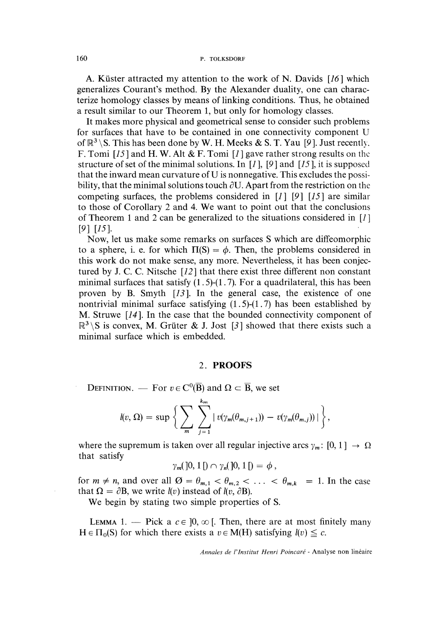A. Küster attracted my attention to the work of N. Davids  $[16]$  which generalizes Courant's method. By the Alexander duality, one can characterize homology classes by means of linking conditions. Thus, he obtained a result similar to our Theorem 1, but only for homology classes.

It makes more physical and geometrical sense to consider such problems for surfaces that have to be contained in one connectivity component U of  $\mathbb{R}^3 \setminus S$ . This has been done by W. H. Meeks & S. T. Yau [9]. Just recently. F. Tomi  $[15]$  and H. W. Alt & F. Tomi  $[1]$  gave rather strong results on the structure of set of the minimal solutions. In [1], [9] and [15], it is supposed that the inward mean curvature of U is nonnegative. This excludes the possibility, that the minimal solutions touch  $\partial U$ . Apart from the restriction on the competing surfaces, the problems considered in  $[1]$  [9]  $[15]$  are similar to those of Corollary 2 and 4. We want to point out that the conclusions of Theorem 1 and 2 can be generalized to the situations considered in [1 ]  $[9]$   $[15]$ .

Now, let us make some remarks on surfaces S which are diffeomorphic to a sphere, i. e. for which  $\Pi(S) = \phi$ . Then, the problems considered in this work do not make sense, any more. Nevertheless, it has been conjectured by J. C. C. Nitsche [12 ] that there exist three different non constant minimal surfaces that satisfy  $(1.5)$ - $(1.7)$ . For a quadrilateral, this has been proven by B. Smyth [13]. In the general case, the existence of one nontrivial minimal surface satisfying  $(1.5)-(1.7)$  has been established by M. Struwe [14 ]. In the case that the bounded connectivity component of  $\mathbb{R}^3 \backslash S$  is convex, M. Grüter & J. Jost [3] showed that there exists such a minimal surface which is embedded.

#### 2. PROOFS

DEFINITION. — For  $v \in C^0(\overline{B})$  and  $\Omega \subset \overline{B}$ , we set

$$
l(v,\Omega)=\sup\bigg\{\sum_{m}\sum_{j=1}^{k_m}|v(\gamma_m(\theta_{m,j+1}))-v(\gamma_m(\theta_{m,j}))|\bigg\},\,
$$

where the supremum is taken over all regular injective arcs  $\gamma_m: [0, 1] \rightarrow \Omega$ that satisfy

$$
\gamma_m([0,1[)\cap\gamma_n([0,1[)=\phi],
$$

for  $m \neq n$ , and over all  $\varnothing = \theta_{m,1} < \theta_{m,2} < \ldots < \theta_{m,k} = 1$ . In the case that  $\Omega = \partial B$ , we write  $l(v)$  instead of  $l(v, \partial B)$ .

We begin by stating two simple properties of S.

LEMMA 1. - Pick a  $c \in [0, \infty)$ . Then, there are at most finitely many  $H \in \Pi_0(S)$  for which there exists a  $v \in M(H)$  satisfying  $l(v) \leq c$ .

Annales de l'Institut Henri Poincaré - Analyse non linéaire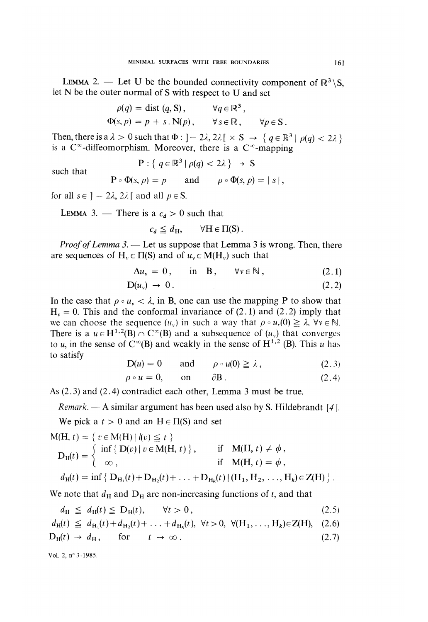LEMMA 2. — Let U be the bounded connectivity component of  $\mathbb{R}^3 \setminus S$ . let N be the outer normal of S with respect to U and set

$$
\rho(q) = \text{dist}(q, S), \qquad \forall q \in \mathbb{R}^3,
$$
  

$$
\Phi(s, p) = p + s \cdot N(p), \qquad \forall s \in \mathbb{R}, \qquad \forall p \in S.
$$

Then, there is a  $\lambda > 0$  such that  $\Phi : ] - 2\lambda, 2\lambda [ \times S \to \{ q \in \mathbb{R}^3 \mid \rho(q) < 2\lambda \} ]$ is a  $C^{\infty}$ -diffeomorphism. Moreover, there is a  $C^{\infty}$ -mapping

$$
P: \{ q \in \mathbb{R}^3 \mid \rho(q) < 2\lambda \} \rightarrow S
$$

such that

$$
P \circ \Phi(s, p) = p
$$
 and  $\rho \circ \Phi(s, p) = |s|$ ,

for all  $s \in ] - 2\lambda, 2\lambda[$  and all  $p \in S$ .

LEMMA 3. - There is a  $c_d > 0$  such that

$$
c_d \leq d_{\rm H}, \qquad \forall {\rm H} \in \Pi({\rm S})\,.
$$

*Proof of Lemma 3.* — Let us suppose that Lemma 3 is wrong. Then, there are sequences of  $H_v \in \Pi(S)$  and of  $u_v \in M(H_v)$  such that

$$
\Delta u_{\nu} = 0, \quad \text{in} \quad \mathbf{B}, \quad \forall \nu \in \mathbb{N}, \tag{2.1}
$$

$$
D(u_v) \to 0. \tag{2.2}
$$

In the case that  $\rho \circ u_{\nu} < \lambda$ , in B, one can use the mapping P to show that  $H<sub>v</sub> = 0$ . This and the conformal invariance of (2.1) and (2.2) imply that we can choose the sequence  $(u_x)$  in such a way that  $\rho \circ u_x(0) \geq \lambda$ ,  $\forall v \in \mathbb{N}$ . There is a  $u \in H^{1,2}(B) \cap C^{\infty}(B)$  and a subsequence of  $(u_v)$  that converges to u, in the sense of  $C^{\infty}(B)$  and weakly in the sense of  $H^{1,2}$  (B). This u has to satisfy

$$
D(u) = 0 \qquad \text{and} \qquad \rho \circ u(0) \ge \lambda \,, \tag{2.3}
$$

$$
\rho \circ u = 0, \qquad \text{on} \qquad \partial B. \tag{2.4}
$$

As (2.3) and (2.4) contradict each other, Lemma 3 must be true.

*Remark.* — A similar argument has been used also by S. Hildebrandt [4].

We pick a  $t > 0$  and an  $H \in \Pi(S)$  and set

$$
M(H, t) = \{ t \in M(H) | l(v) \le t \}
$$
  
\n
$$
D_H(t) = \begin{cases} \inf \{ D(v) | v \in M(H, t) \}, & \text{if } M(H, t) \ne \phi, \\ \infty, & \text{if } M(H, t) = \phi, \end{cases}
$$
  
\n
$$
d_H(t) = \inf \{ D_{H_1}(t) + D_{H_2}(t) + \dots + D_{H_k}(t) | (H_1, H_2, \dots, H_k) \in Z(H) \}
$$

We note that  $d_H$  and  $D_H$  are non-increasing functions of t, and that

$$
d_{\mathrm{H}} \leq d_{\mathrm{H}}(t) \leq D_{\mathrm{H}}(t), \qquad \forall t > 0, \tag{2.5}
$$

$$
d_{\mathrm{H}}(t) \leq d_{\mathrm{H}_1}(t) + d_{\mathrm{H}_2}(t) + \ldots + d_{\mathrm{H}_k}(t), \ \forall t > 0, \ \forall (\mathrm{H}_1, \ldots, \mathrm{H}_k) \in \mathrm{Z}(\mathrm{H}), \ (2.6)
$$

$$
D_H(t) \to d_H, \quad \text{for} \quad t \to \infty. \tag{2.7}
$$

Vol. 2, n° 3 -1985.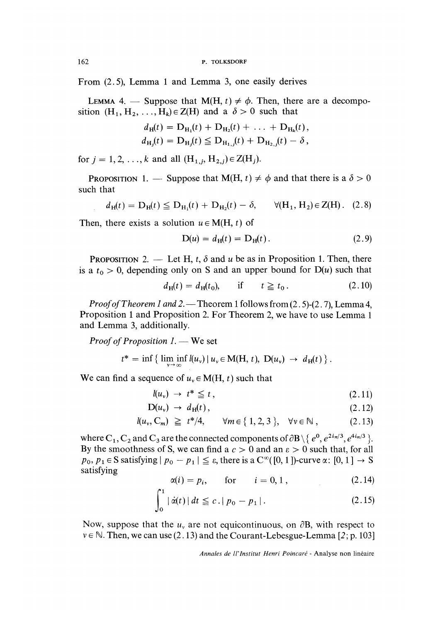162 P. TOLKSDORF

From (2.5), Lemma 1 and Lemma 3, one easily derives

LEMMA 4. — Suppose that  $M(H, t) \neq \phi$ . Then, there are a decomposition  $(H_1, H_2, \ldots, H_k) \in Z(H)$  and a  $\delta > 0$  such that

$$
d_{\mathrm{H}}(t) = \mathrm{D}_{\mathrm{H}_1}(t) + \mathrm{D}_{\mathrm{H}_2}(t) + \ldots + \mathrm{D}_{\mathrm{H}_k}(t),
$$
  
\n
$$
d_{\mathrm{H}_1}(t) = \mathrm{D}_{\mathrm{H}_1}(t) \leq \mathrm{D}_{\mathrm{H}_{1,1}}(t) + \mathrm{D}_{\mathrm{H}_{2,1}}(t) - \delta,
$$

for  $j = 1, 2, ..., k$  and all  $(H_{1,j}, H_{2,j}) \in Z(H_j)$ .

**PROPOSITION** 1. — Suppose that  $M(H, t) \neq \phi$  and that there is a  $\delta > 0$ such that

$$
d_{\mathrm{H}}(t) = D_{\mathrm{H}}(t) \leq D_{\mathrm{H}_1}(t) + D_{\mathrm{H}_2}(t) - \delta, \qquad \forall (\mathrm{H}_1, \mathrm{H}_2) \in \mathrm{Z}(\mathrm{H}). \quad (2.8)
$$

Then, there exists a solution  $u \in M(H, t)$  of

$$
D(u) = d_H(t) = D_H(t).
$$
 (2.9)

**PROPOSITION** 2. — Let H, t,  $\delta$  and u be as in Proposition 1. Then, there is a  $t_0 > 0$ , depending only on S and an upper bound for  $D(u)$  such that

$$
d_{\mathbf{H}}(t) = d_{\mathbf{H}}(t_0), \quad \text{if} \quad t \geq t_0. \tag{2.10}
$$

*Proof of Theorem 1 and 2.* — Theorem 1 follows from  $(2.5)-(2.7)$ , Lemma 4, Proposition 1 and Proposition 2. For Theorem 2, we have to use Lemma 1 and Lemma 3, additionally.

Proof of Proposition  $1.$  We set

$$
t^* = \inf \left\{ \liminf_{\nu \to \infty} l(u_{\nu}) \, | \, u_{\nu} \in M(H, t), \ D(u_{\nu}) \to d_H(t) \right\}.
$$

We can find a sequence of  $u<sub>v</sub> \in M(H, t)$  such that

$$
l(u_{\nu}) \rightarrow t^* \leqq t, \qquad (2.11)
$$

$$
D(u_v) \rightarrow d_H(t), \qquad (2.12)
$$

$$
l(u_v, C_m) \geq t^*/4, \quad \forall m \in \{1, 2, 3\}, \quad \forall v \in \mathbb{N}, \quad (2.13)
$$

where  $C_1, C_2$  and  $C_3$  are the connected components of  $\partial B \setminus \{e^0, e^{2i\pi/3}, e^{4i\pi/3}\}\$ . By the smoothness of S, we can find a  $c > 0$  and an  $\varepsilon > 0$  such that, for all  $p_0, p_1 \in S$  satisfying  $|p_0 - p_1| \leq \varepsilon$ , there is a  $C^{\infty}([0, 1])$ -curve  $\alpha : [0, 1] \to S$ satisfying

$$
\alpha(i) = p_i, \qquad \text{for} \qquad i = 0, 1, \tag{2.14}
$$

$$
\int_0^1 |\dot{\alpha}(t)| \, dt \leq c \cdot |p_0 - p_1| \,. \tag{2.15}
$$

Now, suppose that the  $u<sub>v</sub>$  are not equicontinuous, on  $\partial B$ , with respect to  $v \in \mathbb{N}$ . Then, we can use (2.13) and the Courant-Lebesgue-Lemma [2; p. 103]

Annales de ll'lnstitut Henri Poincaré - Analyse non linéaire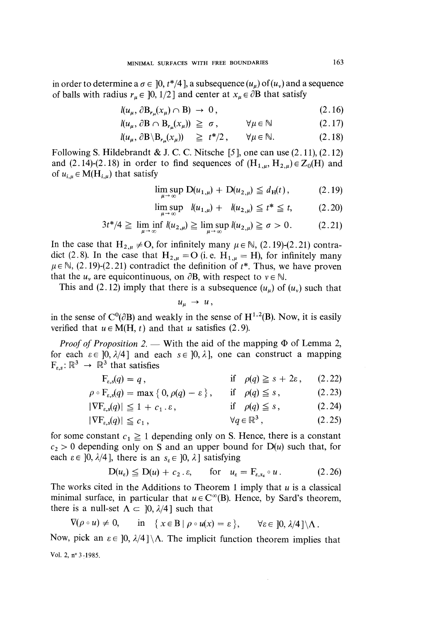in order to determine a  $\sigma \in [0, t^*/4]$ , a subsequence  $(u_u)$  of  $(u_v)$  and a sequence of balls with radius  $r_{\mu} \in [0, 1/2]$  and center at  $x_{\mu} \in \partial B$  that satisfy

$$
l(u_{\mu}, \partial B_{r_{\mu}}(x_{\mu}) \cap B) \rightarrow 0, \qquad (2.16)
$$

$$
l(u_{\mu}, \partial B \cap B_{r_{\mu}}(x_{\mu})) \geq \sigma, \qquad \forall \mu \in \mathbb{N} \qquad (2.17)
$$

$$
l(u_{\mu}, \partial \mathbf{B} \setminus \mathbf{B}_{r_{\mu}}(x_{\mu})) \geq t^*/2, \quad \forall \mu \in \mathbb{N}.
$$
 (2.18)

Following S. Hildebrandt & J. C. C. Nitsche [5], one can use  $(2.11)$ ,  $(2.12)$ and (2.14)-(2.18) in order to find sequences of  $(H_{1,u}, H_{2,u}) \in Z_0(H)$  and of  $u_{i,\mu} \in M(H_{i,\mu})$  that satisfy

$$
\limsup_{u \to \infty} D(u_{1,\mu}) + D(u_{2,\mu}) \le d_{\mathrm{H}}(t), \tag{2.19}
$$

$$
\limsup_{\mu \to \infty} \ \ l(u_{1,\mu}) + \ \ l(u_{2,\mu}) \leq t^* \leq t, \tag{2.20}
$$

$$
3t^*/4 \ge \liminf_{\mu \to \infty} l(u_{2,\mu}) \ge \limsup_{\mu \to \infty} l(u_{2,\mu}) \ge \sigma > 0. \tag{2.21}
$$

In the case that  $H_{2,\mu} \neq O$ , for infinitely many  $\mu \in \mathbb{N}$ , (2.19)-(2.21) contradict (2.8). In the case that  $H_{2,\mu} = O$  (i.e.  $H_{1,\mu} = H$ ), for infinitely many  $\mu \in \mathbb{N}$ , (2.19)-(2.21) contradict the definition of  $t^*$ . Thus, we have proven that the  $u_{\nu}$  are equicontinuous, on  $\partial$ B, with respect to  $\nu \in \mathbb{N}$ .

This and (2.12) imply that there is a subsequence  $(u_u)$  of  $(u_v)$  such that

$$
u_{\mu} \rightarrow u,
$$

in the sense of  $C^0(\partial B)$  and weakly in the sense of  $H^{1,2}(B)$ . Now, it is easily verified that  $u \in M(H, t)$  and that u satisfies (2.9).

*Proof of Proposition 2.* — With the aid of the mapping  $\Phi$  of Lemma 2, for each  $\varepsilon \in [0, \lambda/4]$  and each  $s \in [0, \lambda]$ , one can construct a mapping  $F_{\varepsilon,s} : \mathbb{R}^3 \to \mathbb{R}^3$  that satisfies

| if $\rho(q) \geq s + 2\varepsilon$ , (2.22) |
|---------------------------------------------|
|                                             |

$$
\rho \circ F_{\varepsilon,s}(q) = \max\left\{0, \rho(q) - \varepsilon\right\}, \quad \text{if} \quad \rho(q) \leq s, \tag{2.23}
$$

$$
|\nabla F_{\varepsilon,s}(q)| \le 1 + c_1 \cdot \varepsilon, \qquad \text{if } \rho(q) \le s, \qquad (2.24)
$$

$$
|\nabla F_{\varepsilon,s}(q)| \leq c_1, \qquad \forall q \in \mathbb{R}^3, \qquad (2.25)
$$

for some constant  $c_1 \ge 1$  depending only on S. Hence, there is a constant  $c_2 > 0$  depending only on S and an upper bound for  $D(u)$  such that, for each  $\varepsilon \in [0, \lambda/4]$ , there is an  $s_{\varepsilon} \in [0, \lambda]$  satisfying

$$
D(u_{\varepsilon}) \leq D(u) + c_2 \cdot \varepsilon, \quad \text{for} \quad u_{\varepsilon} = F_{\varepsilon, s_{\varepsilon}} \circ u. \tag{2.26}
$$

The works cited in the Additions to Theorem 1 imply that  $u$  is a classical minimal surface, in particular that  $u \in C^{\infty}(B)$ . Hence, by Sard's theorem, there is a null-set  $\Lambda \subset [0, \lambda/4]$  such that

$$
\nabla(\rho \circ u) \neq 0, \quad \text{in} \quad \{x \in B \mid \rho \circ u(x) = \varepsilon\}, \quad \forall \varepsilon \in [0, \lambda/4] \setminus \Lambda.
$$

Now, pick an  $\varepsilon \in [0, \lambda/4] \setminus \Lambda$ . The implicit function theorem implies that Vol. 2, n° 3 -1985.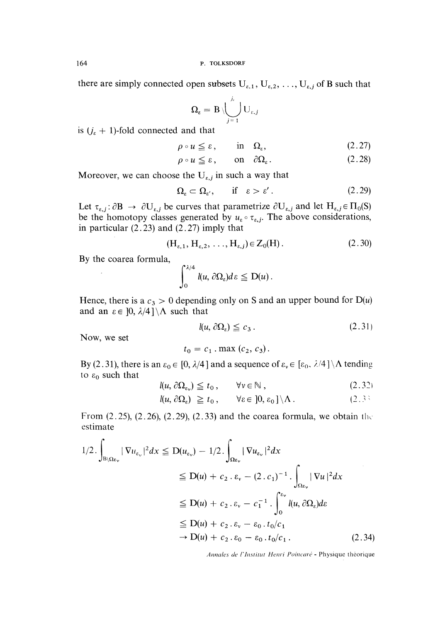there are simply connected open subsets  $U_{\varepsilon,1}$ ,  $U_{\varepsilon,2}$ , ...,  $U_{\varepsilon,j}$  of B such that

$$
\Omega_{\varepsilon} = \mathrm{B}\,\backslash \bigcup_{j=1}^{j_{\varepsilon}}\mathrm{U}_{\varepsilon,j}
$$

is  $(j_{\varepsilon} + 1)$ -fold connected and that

$$
\rho \circ u \leqq \varepsilon, \qquad \text{in} \quad \Omega_{\varepsilon}, \tag{2.27}
$$

$$
\rho \circ u \leq \varepsilon, \qquad \text{on} \quad \partial \Omega_{\varepsilon}. \tag{2.28}
$$

Moreover, we can choose the  $U_{\varepsilon,j}$  in such a way that

$$
\Omega_{\varepsilon} \subset \Omega_{\varepsilon'}, \quad \text{if} \quad \varepsilon > \varepsilon'.
$$
 (2.29)

Let  $\tau_{\varepsilon,j}$ :  $\partial B \to \partial U_{\varepsilon,j}$  be curves that parametrize  $\partial U_{\varepsilon,j}$  and let  $H_{\varepsilon,j} \in \Pi_0(S)$ be the homotopy classes generated by  $u_{\varepsilon} \circ \tau_{\varepsilon,j}$ . The above considerations, in particular  $(2.23)$  and  $(2.27)$  imply that

$$
(\mathbf{H}_{\varepsilon,1}, \mathbf{H}_{\varepsilon,2}, \dots, \mathbf{H}_{\varepsilon,j}) \in \mathbf{Z}_0(\mathbf{H}). \tag{2.30}
$$

By the coarea formula,

$$
\int_0^{\lambda/4} l(u, \partial \Omega_\varepsilon) d\varepsilon \leq D(u).
$$

Hence, there is a  $c_3 > 0$  depending only on S and an upper bound for  $D(u)$ and an  $\varepsilon \in [0, \lambda/4] \setminus \Lambda$  such that

$$
l(u, \,\partial\Omega_{\varepsilon}) \leqq c_3 \,. \tag{2.31}
$$

Now, we set

$$
t_0 = c_1 \cdot \max(c_2, c_3)
$$

By (2.31), there is an  $\varepsilon_0 \in [0, \lambda/4]$  and a sequence of  $\varepsilon_v \in [\varepsilon_0, \lambda/4] \setminus \Lambda$  tending to  $\varepsilon_0$  such that

$$
l(u, \partial \Omega_{\varepsilon_v}) \leq t_0, \qquad \forall v \in \mathbb{N}, \qquad (2.32)
$$

$$
l(u, \partial \Omega_{\varepsilon}) \geq t_0, \qquad \forall \varepsilon \in [0, \varepsilon_0] \setminus \Lambda. \tag{2.3}
$$

From  $(2.25)$ ,  $(2.26)$ ,  $(2.29)$ ,  $(2.33)$  and the coarea formula, we obtain the estimate

$$
1/2 \cdot \int_{B \setminus \Omega \varepsilon_{\nu}} |\nabla u_{\varepsilon_{\nu}}|^2 dx \leq D(u_{\varepsilon_{\nu}}) - 1/2 \cdot \int_{\Omega \varepsilon_{\nu}} |\nabla u_{\varepsilon_{\nu}}|^2 dx
$$
  
\n
$$
\leq D(u) + c_2 \cdot \varepsilon_{\nu} - (2 \cdot c_1)^{-1} \cdot \int_{\Omega \varepsilon_{\nu}} |\nabla u|^2 dx
$$
  
\n
$$
\leq D(u) + c_2 \cdot \varepsilon_{\nu} - c_1^{-1} \cdot \int_0^{\varepsilon_{\nu}} l(u, \partial \Omega_{\varepsilon}) d\varepsilon
$$
  
\n
$$
\leq D(u) + c_2 \cdot \varepsilon_{\nu} - \varepsilon_0 \cdot t_0/c_1
$$
  
\n
$$
\to D(u) + c_2 \cdot \varepsilon_0 - \varepsilon_0 \cdot t_0/c_1.
$$
 (2.34)

Annales de l'Institut Henri Poincaré - Physique théorique